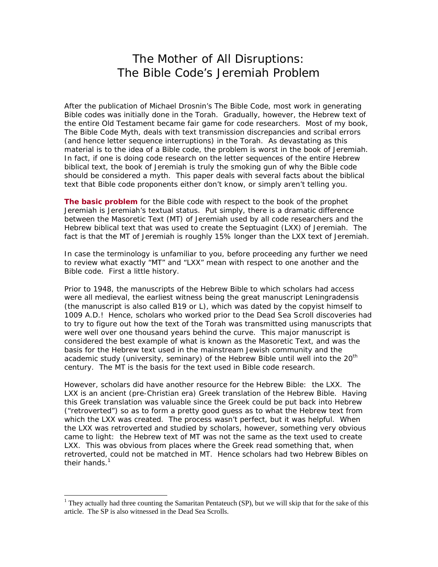## The Mother of All Disruptions: The Bible Code's Jeremiah Problem

After the publication of Michael Drosnin's *The Bible Code*, most work in generating Bible codes was initially done in the Torah. Gradually, however, the Hebrew text of the entire Old Testament became fair game for code researchers. Most of my book, The Bible Code Myth, deals with text transmission discrepancies and scribal errors (and hence letter sequence interruptions) in the Torah. As devastating as this material is to the idea of a Bible code, the problem is worst in the book of Jeremiah. In fact, if one is doing code research on the letter sequences of the entire Hebrew biblical text, the book of Jeremiah is truly the smoking gun of why the Bible code should be considered a myth. This paper deals with several facts about the biblical text that Bible code proponents either don't know, or simply aren't telling you.

**The basic problem** for the Bible code with respect to the book of the prophet Jeremiah is Jeremiah's textual status. Put simply, there is a *dramatic* difference between the Masoretic Text (MT) of Jeremiah used by all code researchers and the Hebrew biblical text that was used to create the Septuagint (LXX) of Jeremiah. The fact is that the MT of Jeremiah is roughly 15% *longer* than the LXX text of Jeremiah.

In case the terminology is unfamiliar to you, before proceeding any further we need to review what exactly "MT" and "LXX" mean with respect to one another and the Bible code. First a little history.

Prior to 1948, the manuscripts of the Hebrew Bible to which scholars had access were all medieval, the earliest witness being the great manuscript *Leningradensis*  (the manuscript is also called B19 or L), which was dated by the copyist himself to 1009 *A.D.*! Hence, scholars who worked prior to the Dead Sea Scroll discoveries had to try to figure out how the text of the Torah was transmitted using manuscripts that were well over one thousand years behind the curve. This major manuscript is considered the best example of what is known as the Masoretic Text, and was the basis for the Hebrew text used in the mainstream Jewish community and the academic study (university, seminary) of the Hebrew Bible until well into the  $20<sup>th</sup>$ century. The MT is the basis for the text used in Bible code research.

However, scholars did have another resource for the Hebrew Bible: the LXX. The LXX is an ancient (pre-Christian era) *Greek* translation of the Hebrew Bible. Having this Greek translation was valuable since the Greek could be put back into Hebrew ("retroverted") so as to form a pretty good guess as to what the Hebrew text from which the LXX was created. The process wasn't perfect, but it was helpful. When the LXX was retroverted and studied by scholars, however, something very obvious came to light: the Hebrew text of MT was not the same as the text used to create LXX. This was obvious from places where the Greek read something that, when retroverted, could not be matched in MT. Hence scholars had two Hebrew Bibles on their hands. $1$ 

1

<sup>&</sup>lt;sup>1</sup> They actually had three counting the Samaritan Pentateuch (SP), but we will skip that for the sake of this article. The SP is also witnessed in the Dead Sea Scrolls.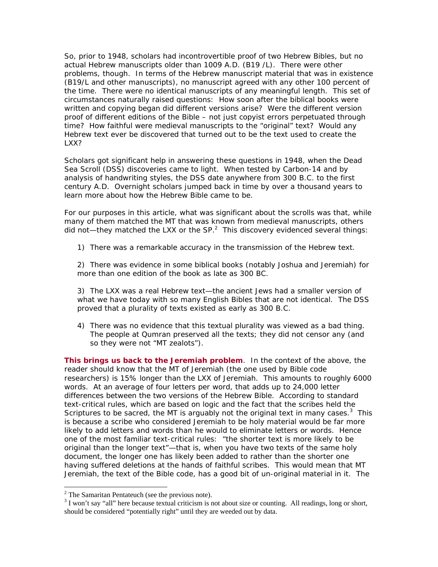So, prior to 1948, scholars had incontrovertible proof of two Hebrew Bibles, but no actual Hebrew manuscripts older than 1009 A.D. (B19 /L). There were other problems, though. In terms of the Hebrew manuscript material that was in existence (B19/L and other manuscripts), no manuscript agreed with any other 100 percent of the time. There were no identical manuscripts of any meaningful length. This set of circumstances naturally raised questions: How soon after the biblical books were written and copying began did different versions arise? Were the different version proof of different editions of the Bible – not just copyist errors perpetuated through time? How faithful were medieval manuscripts to the "original" text? Would any Hebrew text ever be discovered that turned out to be the text used to create the LXX?

Scholars got significant help in answering these questions in 1948, when the Dead Sea Scroll (DSS) discoveries came to light. When tested by Carbon-14 and by analysis of handwriting styles, the DSS date anywhere from 300 B.C. to the first century A.D. Overnight scholars jumped back in time by over a thousand years to learn more about how the Hebrew Bible came to be.

For our purposes in this article, what was significant about the scrolls was that, while many of them matched the MT that was known from medieval manuscripts, others did not—they matched the LXX or the SP.<sup>2</sup> This discovery evidenced several things:

1) There was a remarkable accuracy in the transmission of the Hebrew text.

2) There was evidence in some biblical books (notably Joshua and Jeremiah) for more than one *edition* of the book as late as 300 BC.

3) The LXX was a real Hebrew text—the ancient Jews had a smaller version of what we have today with so many English Bibles that are not identical. The DSS proved that *a plurality of texts existed as early as 300 B.C.* 

4) There was no evidence that this textual plurality was viewed as a bad thing. The people at Qumran preserved all the texts; they did not censor any (and so they were not "MT zealots").

**This brings us back to the Jeremiah problem**. In the context of the above, the reader should know that the MT of Jeremiah (the one used by Bible code researchers) is 15% longer than the LXX of Jeremiah. This amounts to roughly 6000 *words*. At an average of four letters per word, that adds up to *24,000 letter differences between the two versions of the Hebrew Bible*. According to standard text-critical rules, which are based on logic and the fact that the scribes held the Scriptures to be sacred, the MT is arguably *not* the original text in many cases.<sup>3</sup> This is because a scribe who considered Jeremiah to be holy material would be far more likely to add letters and words than he would to eliminate letters or words. Hence one of the most familiar text-critical rules: "the shorter text is more likely to be original than the longer text"—that is, when you have two texts of the same holy document, the longer one has likely been added to rather than the shorter one having suffered deletions at the hands of faithful scribes. This would mean that MT Jeremiah, the text of the Bible code, has a good bit of un-original material in it. The

<sup>&</sup>lt;sup>2</sup> The Samaritan Pentateuch (see the previous note).

 $3$  I won't say "all" here because textual criticism is not about size or counting. All readings, long or short, should be considered "potentially right" until they are weeded out by data.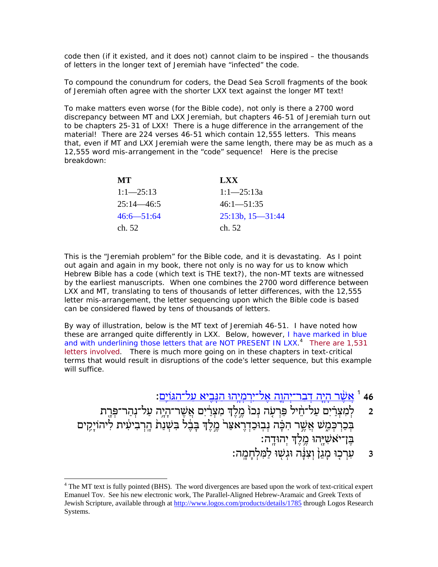code then (if it existed, and it does not) cannot claim to be inspired – the thousands of letters in the longer text of Jeremiah have "infected" the code.

To compound the conundrum for coders, the Dead Sea Scroll fragments of the book of Jeremiah often agree with the shorter LXX text against the longer MT text!

To make matters even worse (for the Bible code), not only is there a 2700 word discrepancy between MT and LXX Jeremiah, but chapters 46-51 of Jeremiah turn out to be chapters 25-31 of LXX! There is a huge difference in the arrangement of the material! There are 224 verses 46-51 which contain 12,555 letters. This means that, even if MT and LXX Jeremiah were the same length, there may be as much as a 12,555 word mis-arrangement in the "code" sequence! Here is the precise breakdown:

| MТ             | <b>LXX</b>              |
|----------------|-------------------------|
| $1:1-25:13$    | $1:1-25:13a$            |
| $25:14 - 46:5$ | $46:1 - 51:35$          |
| $46:6 - 51:64$ | $25:13b$ , $15 - 31:44$ |
| ch. 52         | ch. 52                  |

This is the "Jeremiah problem" for the Bible code, and it is devastating. As I point out again and again in my book, there not only is no way for us to know which Hebrew Bible has a code (which text is THE text?), the non-MT texts are witnessed by the earliest manuscripts. When one combines the 2700 word difference between LXX and MT, translating to tens of thousands of letter differences, with the 12,555 letter mis-arrangement, the letter sequencing upon which the Bible code is based can be considered flawed by *tens of thousands* of letters.

By way of illustration, below is the MT text of Jeremiah 46-51. I have noted how these are arranged quite differently in LXX. Below, however, I have marked in blue and with underlining those letters that are NOT PRESENT IN LXX.<sup>4</sup> There are 1,531 letters involved. There is much more going on in these chapters in text-critical terms that would result in disruptions of the code's letter sequence, but this example will suffice.

יִרמַיָהוּ הַנְבִיא על־הגּוֹיָם: <sup>1</sup> אֲש<u>ָׂר הִיָּה יִהְבִיא על־הגּוֹיָם</u>

- 2 ק<sup>ָל</sup>מְצִרַיִם עַל־חֵ֫יל פַּרְעָה נְכוֹ מֶלֶךְ מִצְרַ֫יִם אֲשֶׁר־הָיָה עַל־נְהַר־פְּרֶת בְּכַרְכְּמֶשׁ אֲשֶׁר הִכָּה נְבְוּכַדְרֵאצַר מֵלֶךְ בָּבֶ֫ל ִבִּשְׁנַת הַרִבִיעִית לִיהוֹיַקֵים ֶבּן־י ֹ ִאשָׁ ֖יּהוּ ֶ֥מֶלְך ְי ָ ֽהוּדה׃
	- 3  $\,$ עֲרְכוּ מַגֵּן וְצָנֵּה וּגִשְׁוּ לַמְּלְחֲמֶה:

1

 $4$  The MT text is fully pointed (BHS). The word divergences are based upon the work of text-critical expert Emanuel Tov. See his new electronic work, The Parallel-Aligned Hebrew-Aramaic and Greek Texts of Jewish Scripture, available through at http://www.logos.com/products/details/1785 through Logos Research Systems.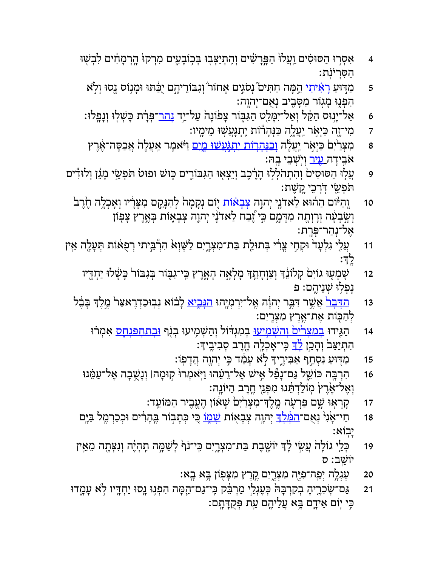- 4 אִסְרוּ הַסּוּסִים וַעֲלוּ הַפְּרָשִׁים וְהִתְיַצְבְוּ בְּכִוּבְעֵים מִרְקוּ הֶרְמָחִים לִבְשָׁוּ ּ הַסְּרִיּנְת:
	- 5 ַמַּדִּוּעַ <u>רְאִיתי</u> הֵמְה חַתִּים ׁנְסֹגִים אָחוֹר וְגִבּוֹרֵיהֶם יֻכַּתּוּ וּמְנִוֹס גָסוּ וְלָא ָהִפְּנִוּ מַגְוֹר מִסָּבֵיב נְאָם־יְהוֵה:
- 6 אַל־יְנָוּס הַקַּל וְאַל־יִמְּלֵט הַגִּבְּוֹר צָפֹוֹנָה עַל־יַד <u>נָהר־</u>פְּרָֹת כְּשְׁלוּ וְנָפְלוּ:
	- ד ָ מִי־זֶה כַּיְאָר יַעֲלֶה כַּנְּהָרוֹת יִתְגְּעֲשָׁוּ מֵימְיו:
- 8 <sup>ָ</sup> מִצְרַיִם כַּיְאָר י<u>ְעֲ</u>לֶה <u>וְבַנְהְרוֹת יִתְגְּעָשׁוּ מֱיִם</u> וַיֹּּאמֶר אַעֲלֶה אֲכַסֶּה־אֶרֶץ ֿאֹבְידָה <u>עָיר</u> וְיִשְׁבֵי בָהּ:
- ּפִּ וְעֲלָוּ הַסּוּסִים וְהִתְהֹלְלָוּ הְרֶ֫כֶב וְיֵצְאָוּ הַגִּבּוֹרֶים כְּוּשׁ וּפוּט תּפְשֵׂי מָגֵ֫ן וְלוּדִּים ֹתּ ְפֵ ֖שׂי ֥דְֹּרֵכי ָ ֽק ֶשׁת׃
	- 10 <sup>ְ</sup> וְהַיּּוֹם הַהוּא לַאדֹנֵי יִהוֶה <u>צָבְאֹוֹת</u> יִוֹם גִקָמָה לְהִנָּקֵם מִצָּרָיו וְאָכְלֶה הֶוֶרַבֹּ וְשָׂבְעָׂה וְרִוְחָה מִדָּמֶם כִּי יֶצָבח לַאדֹּנָי יְהוֶה צְבָאָוֹת בְּאֶרֶץ צָפְוֹן ֶא ְל־נַה ְ ר־פָּ ֽרת׃
- וז אֲעָ*י* גִלְעָד וּקִחִי צְרִי בְּתוּלַת בַּת־מִצְרֶיִם לַשְּׁוְא הִרְבֵּיתי רְפָאֹוֹת תְּעָלֶה אֵין ָ ֽלְך׃
	- 12 דֹר שִׁמְעָוּ גוֹיִם קְלוֹנֵד וְצִוְחָתֵדְ מְלְאָה הָאֱרֶץ כִּי־גִבְּוֹר בְּגִבּוֹר כְּשָׁלוּ יַחְדֵיו **ׁנָפִלְוּ** שְׁנֵיהֶם: פ
	- 13 ַ<u>הַדְּבְר</u> אֲשֶׁר דִּבֶּר יְהוָה אֱל־יִרְמְיֶהוּ <u>הנִּבְיא</u> לָבֹוֹא נְבְוּכַדְרֶאצַר ִמֶלֶדְ בָּבֶ֫ל ַלְהַכְּוֹת אֶת־אֱרֶץ מִצְרֶיִם:
		- 14 <sub>ּ</sub> הַגְּידוּ <u>בְמַצַר<sup>ִי</sup>ים וַהשַׁמְיעוּ</u> בְמִגְדּוֹל וְהַשִּׁמְיעוּ בִנְף <u>וּבְתחִפּנַח</u>ָס אִמְרוּ ּהִתִיַצֵּב<sup>ּי</sup> וְהָכֵן <u>לְךְ</u> כִּי־אָכְלָה חֱרֵב סִבִיבֵיךָ:
			- 15 ַמַּדִּוּעַ נִסְחַף אַבִּירֶיִדְּ לָא עָמַ֫ד כִּי יְהוֶה הֲדָפְוֹ
		- 16 ː הִרְבֶּה כּוֹשֵׁל גַּם־נָפֿל אִישׁ אֶל־רֵעֵׁהוּ וַיְּאמְרוּ קְוּמָהן וְנָשֶׁבָה אֶל־עַמֵּנוּ וְאֶל־אֶרֶץ מְוֹלַדְתֵּנוּ מִפְּנֵי חֶרֶב הַיּוֹנֶה:
			- 17 אַרְאָוּ שֶׁם כַּּרְעָׂה מֱלֶד־מִצְרַיִׁם שָׁאוֹן הֶעֱבִיר הַמּוֹעֵד:
		- 18 ַחַי־אָׂנִי נְאָם־<u>המֶּׁלֶד</u>ּ יְהוֶה צְבָאָוֹת <u>שָׁמוֹ</u> בֻּי כְּתָבְוֹר בֶּהְרִים וּכְכַרְמֶל בַּיֶּם ָי ֽבוֹא׃
	- 19 ְכֵּ֤לי ָגוֹל ֙ה ֲע ִ֣שׂי ָ֔לְך ֶ֖ יוֹשֶׁבת ַבּ ִת־מ ְצָ֑רִים ִ ֽכּ ֹ י־נ֙ף ְל ַשָׁ֣מּה ִ ֽת ְהֶ֔יה ְוִנ ְצָּ ֖תה ֵמֵ֥אין ֵ ֽ יוֹשׁב׃ ס
		- ּ20 אֲגָלֶה יִפֵּה־פִיֶּה מִצְרָיִם קֵרֵץ מִצָּפְוֹן בֵּא בָא:
	- 21 אַ בּ־שְׂכִרֶיהָ בְקִרְבָּה ּבְעֶגְלֵי מַרְבֵּק כִּי־גַם־הֻמָּה הִפְנֶוּ נָסוּ יַחְדֶיו לְא עָמֶדוּ ּבִּי יִוֹּם אֵידֵם בֵּא עֲלֵיהֵם עֵת פִּקֻדָּתָם: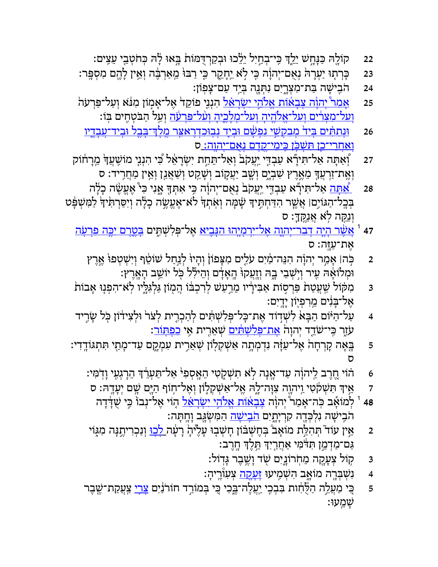- 22 ָ ֖קוֹלהּ ַכָּנָּ֣חשׁ ֵיֵ֑לְך ִ ֽכּ ְ י־בַ֣חִיל ֵיֵ֔לכוּ ְוּבַקְרֻדּ ֙מּוֹת ָ֣בּאוּ ָ֔להּ ְכּחֹ ְטֵ ֖בי ֵעִ ֽצים׃
- ּ23 אָרְבֶּה יִעְרָה יִצְם־יְהוָֹה בִּי לָא יֵחָקֶר בִּי רַבּוּ מֵאַרְבֶּה וְאֵין לָהֶם מִסְפְּר: s
	- 24 הֹבִישָׁה בַּת־מִצְרֱיִם נִתְּנֶה בְּיַד עַם־צָפְוֹן:
- 25 אַ<u>מר יְהוָה צָבְאוֹת אֱלֹהֵי יִשְׂרָאֵל</u> הִנְנֵי ִפוֹקֵד אֶל־אָמְוֹן מִנֹּא וְעַל־פַּרְעֹה ָ<u>וַעל־מַצַרִים וְעל־אֱלֹהִיה וְעל־מַלְכֵיה וְעֹל־פּרעֹׂה וְ</u>עָל הַבֹּטְחִים בְּוֹ:
	- 26 <sup>וּ</sup>נַתַּתִּ֫יִם בַּיָד <u>מִבְקָשִׁי נַפְשׁׂם וּבִיָד נִבוּכְדְרָאַצֵּר מֵלַדְ־בַּבל וּבִיִד־עַבִדִין</u> <u>וְאַחֲרִי־כֵן תִּשָׁכֹּן כֵּימֵי־קֶדֶם נָאֲם־יִהוֶה: ס</u>
- 27 ְ֠וַאָתּה ַא ִ ל־תּ ָ֞ירא ַע ְבִ֤דּי ַ ֽיֲעקֹ ֙ב ְוַא ֵ ל־תַּ֣חת ִי ְשָׂרֵ֔אל ִ֠כּי ִהְנִ֤ני ִ ֽמוֹשֲׁעָ֙ך ֵ ֽמָר ֔חוֹק וְאֶת־זַרְעֲךָ מֵאֶרֶץ שִׁבְיֶם וְשָֽב יַעֲקֶוֹב וְשָׁקַט וְשַׁאֲנֵן וְאֵין מַחֲרִיד: ס
- 28 <u>ַ אֲתָה</u> אַל־תִּידָّא עַבְדִּי יִעֲקֹב נְאָם־יְהוָֹה כִּי אִתְּךָּ אֱנִי כִּי ּאֶעֱשֶׂה כְלָה ּבְּבָל־הַגּוֹיָם। אֲשֶׁר הִדַּחְתִּיִךְ שָׁמָּה וְאִתְךָּ לֹא־אֶעֱשֶׂה כְלָה וְיִסַּרְתִּיךָּ לַמִּשְׁפָּט ּוְנֵקֵה לְאׁ אֲנֵקֶךָ׃ ס
	- יָה ִי דַבְר־יְהְוֶה אֶל־יִרְמְיָהוּ הַנְּבִיאַ אֶל־פְּלִשְׁתֵּֽים <u>בְּטֶרֶם יַבְּה פִרְעָׂה </u>ַ אֶת־עַזֶּה: ס
		- 2 ← כְּהוּ אָמַר יְהוָה הִנֵּה־מַיִם עֹלִים מִצְפוֹן וְהָיוּ לְנַחַל שֹוֹטֵף וְיִשְׁטְפוּ אֶרֶץ ֿוּמְלוֹאָהּ עָיר וְיַשְׁבֵי בֶהּ וְזֶעֲקוּ הָאָדָם וְהֵילִּל כְּל יוֹשֵׁב הָאֲרֶץ:
	- 3 אַבּוֹת aַּרְסְוֹת אַבִּירְׂיו מֵרַעַשׁ לְרִכְבּוֹ הֲמְוֹן גַּלְגִּלְיו לְא־הִפְנָוּ אָבוֹת ָאֵל־בַּנִּים מֵרִפְיִוֹן יָדֵיִם:
	- 4 ַעֲל־הַיּּוֹם הַבְּאׂ לִשְׁדוֹד אֶת־כָּל־פִּלִשְׁתִּ֫ים לְהַכְרִית לְצֹר ּוּלְצִידֹוֹן כְּל שָׂרֵיד ּעֹזֶר בְּי־שַׂדֵד יְהוָה <u>אָת־פְּלִשְׁתִּים</u> שְִׁאֵרֶית אִי <u>כפְתְּוֹר</u>:
	- ֿ5 אָ בָּאָה קָרְחָהׂ אֶל־עַזָּה נִדְמְתָה אַשְׁקְלָוֹן שְׁאֵרִית עִמְקֶם עַד־מָתַי תִּתְגּוֹדְדִי: ס
		- 6 הוֹי חֶרֶב לַיהוָה עַד־אֶנָה לָא תִשְׁקִטִי הֵאֲסְפִיּ אַל־תַּעְרֵׂדְ הֵרְגְעָי וָדְמִי:
		- 7 ֵ֣איְך ִתּ ְשׁ ֔קֹ ִטיַ ֽו ָ ֖ יהוה ִצָוּ ָ֑ה־להּ ֶ ֽא ַ ל־א ְשׁ ְק֛לוֹן ְוֶא ֥ ל־חוֹף ַהָ ֖יּם ָ֥שׁם ְיָעָ ֽדהּ׃ ס
			- יָהָׂה יִהְוָּה <del>צְבָאוֹת אֱלֹהֵי יִשְׂרָאֵ֫ל</del> הָוֹי אֶל־נְבוֹ כִּי שֻׁדְּדָה 48  $^{\rm t}$  ג ּהֹבִישָׁה גִלְכְּדֶה קִרְיָתֳיִם <u>הֹבִישָׁה</u> הַמִּשְׂגֶּב וְחֶתָּה:
		- ַּ2 ְ אֵין עוֹד ֿתְהִלֵּת מוֹאָב בְּחֶשְׁבֹּוֹן חָשְׁבָוּ עָלֶיּהְ רָעָ֫ה <u>לְכוּ</u> וְנַכְרִיהֶנָּה מִגְּוֹי ַגַּם־מַדְמֵ֣ן תִּדֹּמִי אַחֲרָיִךְ תֵּלֶךְ חֳרֶב׃
			- 3 ຣັກ קוֹל צְעָקָה מֵחְרוֹנֵיִם שָׂד וָשֶׁבֶר גָּדוֹל:
			- 4 דֹּנִשְׁבְּרֶה מוֹאֶב הִשְׁמִיעוּ <del>זַעַ<u>קה</u> צְ</del>עִוֹּרֵיהָ: 4
		- 5 <sup>ֶ</sup> בֵּי מַעֲלֵה הַלֶּחָות בִּבְכִי יַעֲלֶה־בֶּכִי בִּי בְּמוֹרֵד חוֹרֹנַּיִם <u>צָֽרִי</u> צַעֲקַת־שֶׁבֶר ָשֵׁ ֽמעוּ׃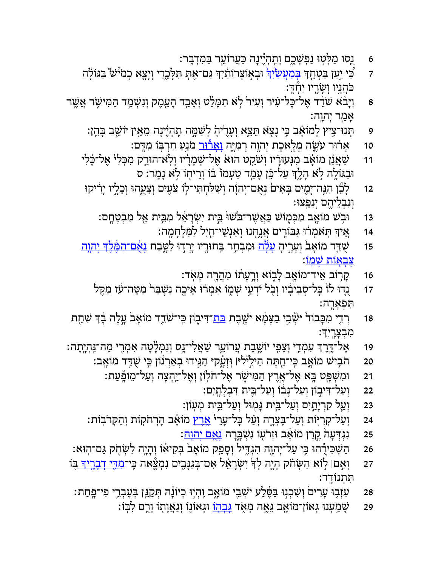- ּ6 אֵ נֻסוּ מַלְּטְוּ נַפְשְׁכֶם וְתֵהְיֶינָה כַּעֲרוֹעֵר בַּמִּדְבֶּר:
- ד *ֶ*כְּוֹיָשׁ בִּגּוֹלָה (וּבְאֲוֹצְרוֹתִוֹּךְ גַּם־אַתְּ תִּלְּבֵדִי וְיָצֵא כְמ<sup>ִי</sup>ּשׁ בַּגּוֹלְּה ּכֹּהֲנֵיו וְשָׂרֵיו יַחְדֵּ:
- פּןיִבּׂא שַׂדֵּד אֶל־כָּל־עִיר וְעִירֹ לָא תִמְּלֵט וְאָבִד הָעֵמֶק וְנִשְׁמַד הַמִּישֶׂר אֲשֶׁר  $\,$ ְאַמֵּר יְהוֶה:
	- ּפִּ הְּנוּ־צִיץ לְמוֹאָב כִּי נָצָא הַצֵּא וְעָרֶיהָ לְשַׁמֲה תְהְיֶינָה מֵאֵ֣ין יוֹשֵׁב בְּהֵן:
		- 10 אַרוּר עִשֶׂה מְלֵאכֶת יְהוֶה רְמִיֶּה נְ<u>אָרוּר</u> מֹגֵעַ חַרְבְּוֹ מִדְּם:
	- 11 ַשַּׁאֲנַן מוֹאָב מִנְּעוּרִיו וְשֹׂקֵט הוּא אֶל־שְׁמָרִיו וְלְאֹ־הוּרַק מִכְּלִי אֶל־כֶּלִי ּוּבַגּוֹלֶה לָא הָלֶךְ עַל־כֵּן עָמַד טַעְמוֹ בּוֹ וְרֵיחָוֹ לִא נָמֳר: ס
	- 12 דָ<sup>אָ</sup>נָ הָגֵה־יָמֶים בְּאִים נְאָם־יְהוָה וְשִׁלַּחְתִּי־לְוֹ צֹעִים וְצֵעֶהוּ וְכֵלִיו יָרִיקוּ וְנִבְלֵיהֵם יְנַפֵּצוּ:
		- 13 ři נִבְשׁ מוֹאֲב מִכְּמְוֹשׁ כַּאֲשֶׁר־בֹּשׁוּּ בֵית יִשְׂרָאֵל מִבֵּית אֵל מִבְטֶחֶם:
			- 14 ֵ֚איְך ֽתֹּ ְאמ ֔רוּ ִגּ ִ֖בּוֹרים ֲאָ֑נ ְחנוּ ְוַאְנֵשׁ ַ ֖ י־חִיל ַל ִמּ ְלָחָ ֽמה׃
	- 15 ַשַּׁדַּד מוֹאָב<sup>י</sup> וְעָרֶיהָ <u>עָלְה</u> וּמִבְחַר בַּחוּרֶיו יְרְדוּ לַטֲבַח <u>נָאֲם־המֶּלֶדּ יְהוֶה</u> <u>ִצְבְאוֹת שׁמוֹ</u>
		- 16 אֶרְוֹב אֵיד־מוֹאֱב לְבְוֹא וְרֵעְתוֹ מִהֲרֶה מְאִד:
		- 17 אַנְדוּ לוֹ כְּל־סְבִיבְׂיו וְכָל יֹדְעֵי שְׁמֶוֹ אִמְרֹוּ אֵיכֶה נִשְּׁבַּר<sup>וּ</sup> מַטֵּה־עֹז מַקֵּל ִתּ ְפָאָ ֽרה׃
- 18 <sup>ַ</sup> רְדִי מִכְּבוֹד יִּשְּׂבִי בַצִּמְׂא יֹשֶׁבֶת <u>בּת</u>־דִּיבְוֹן כִּי־שֹׁדֵד מוֹאָב עֲלָה בְדִּ שִׁחֶת ִמ ְבָצָ ֽרִיְך׃
- 19 אֶל־דֶּרֶךְ עִמְדִי וְצַפִּי יוֹשֶׁבֶת עֲרוֹעֵר שַׁאֲלִי־נָס וְנִמְלָטָה אִמְרִי מַה־נִּהְיֶתָה:
	- 20 הֹ ִ֥בישׁ ָ֛מוֹאב ִ ֽכּ ַ ֖ י־חָתּה ֵה ִ֣יל֯יליּ׀ ֽוְּזָ֑֯עקיּ ַהִ֣גּידוּ ְבַאְר֔נוֹן ִ֥כּי ֻשַׁ ֖דּד ָ ֽמוֹאב׃
		- 21 **ָּוּמִשְׁׁפֵּט בֵּא אֶל־אֶרֶץ הַמִּי**שֶׁר אֶל־חֹלְוֹן וְאֶל־יַהְצָה וְעַל־מֵופָּעַת:
			- 22 <sup>ּ</sup> וְעַל־דִּיבְוֹן וְעַל־נְבֹוֹ וְעַל־בֵּית דִּבְלָתְיִם:
			- 23 <sup>ּ</sup> וְעַל קִרְיָתֵיִם וְעַל־בֵּית גָּמְוּל וְעַל־בֵּית מְעְוֹן:
	- ּ24 וְעַל־קִרִיּּוֹת וְעַל־בִּצְרֶה וְעַל כְּל־עָרֵי <u>אֲרֵץ</u> מוֹאָב הָרְחֹקְוֹת וְהַקְּרֹבְוֹת:
		- 25 țូרֶן ְמוֹאָב וּזְרֹעָוֹ נִשְׁב<del>ֶ</del>רָה <u>נְאֲם יְהוָה</u>:
	- 26 ַה ְשׁ ִכֻּ֕ירהוּ ִ֥כּי ַע ְל־י ָ ֖הוה ִהְגִ֑דּיל ְוָסַ֤פק ָמוֹא֙ב ְבּ ִק ֔יאוֹ ְוָהָ֥יה ִל ְשׂ֖חֹק ַגּ ֽם־הוּא׃
- 27 ְוִ֣אם׀ ֣לוֹא ַה ְשּׂ֗חֹק ָהָ֤יה ְל ָ֙ך ִי ְשָׂרֵ֔אל ִא ְם־בַּגָנִּ֖בים ִנ ְמָ֑֯צאה ִ ֽכּי־ ִמֵ֧דּי ְדָבֶ֥ריָך ֖בּוֹ ִתּ ְת ָ ֽ נוֹדד׃
	- 28 <sup>ָ</sup> עִזְבָוּ עָרִים וְשִׁכְנִוּ בַּפֶּלַע יֹשְׁבֵי מוֹאֱב וִהְיָוּ כְיוֹנָה תְּקַגֵּן בְּעֶבְרֵי פִי־פְחַת:
		- יַצְמַעְנוּ גְאוֹן־מוֹאֶב גֵּאֶה מְאֶד <u>גְּבְהְוֹ</u> וּגְאוֹנֶוֹ וְגַאֲוְתָוֹ וְרֶם לִבְּוֹ: ?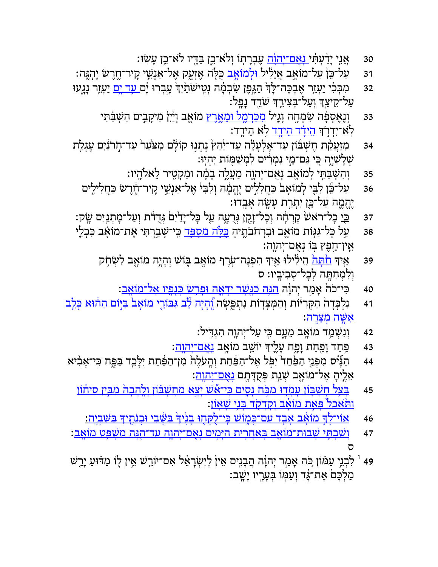- 30 אַגֵּי יְדַ֫עְתִּ֫י <u>נְאֲם־יְהוָׂה</u> עֶבְרָתְוֹ וְלֹא־כֵן בַּדֶּיו לֹא־כֵן עָשְׂוּ:
- 31 <sup>ַ</sup> עַל־כֵּן עַל־מוֹאָֽב אֲיֵלִיל <mark>וּלְמוֹאָב</mark> כֻּלְה אֶזְעֶק אֶל־אַנְשֵׁי קִיר־חֶרֶשׂ יֵהִגֵּה:
- 32 אַבְּבִי יַעְזֵר אֶבְבֶּה־לָּדְ הַגֶּפֶן שִׂבְמְה נְטִישׂתַׂיִדְ עֲבְרוּ יָם <u>עָד יָם</u> יַעְזֶר נָגֶעוּ ַעֲל־קֵיצֵךְ וְעַל־בִּצִירֵךְ שַׂדֵד נָפֵל:
	- 33 <sup>ּ</sup>וְנֶאֶסְפָּ֫ה שִׂמְחֶה וְגֶיל <u>מִכִּרְמֶל וּמֵאֲרָץ</u> מוֹאֱב וְיַ֫יִן מִיקָבִים הִשְּׁבַּ֫תִּי לְאֹ־יִדְרָׂד <u>הֵידִד הֵידֵד</u> לְא הֵידֳד:
- 34 אַמַּזַּעֲקַת הֶשְׁבּוֹן עַד־אֶלְעָלֵה עַד־יַהַץ נָתְגִוּ קוֹלָם מִצֹּעַר עַד־חְרֹבֹּיִם עֶגְלַת ְשִׁ ֽל ִשָׁיּ֑ה ִ֚כּי ַגּ ֵ֣ ם־מי ִנ ְמִ ֔רים ִל ְמ ַשׁ ֖מּוֹת ִי ְהֽיוּ׃
	- 35 <sup>ַ</sup>וְהִשְׁבַּתִּי לְמוֹאֶב נְאֻּם־יְהְוֶה מַעֲלֶה בְמָ֫ה וּמַקְטֶיר לֵאלֹהֶיו:
	- 36 لِلْمَسْتِيَّة لِلْقِرْ بِرَمَابِكِي ۚ فِחֲלִלִים יֶהֱמֶה וְלִבִּי אֶל־אַנְשֵׁי קִיר־חֶרֶשׁ כַּחֲלִילִים יֶהֱמֶה עַל־כֵּן יִתְרַת עָשֶׂה אָבֶדוּ:
- 37 כֵּי*ַ כְּל־ר*ֹאשׁ קִרְחָה וְכָל־זָקָן גְּרֻעֶה עַל כְּל־יָדַיִם גְּדֻדֹּת וְעַל־מְתְנַיִם שֶׂק:
- 38 <sup>ַ</sup> עַל כְּל־גַּגְּוֹת מוֹאֶב וּבִרְחֹבֹתֶיהָ <u>כָּלָּה מִסְפֵּד</u> כִּי־שָׁבַרְתִּי אֶת־מוֹאָב כִּכְלֵי ְאֵין־חֱפֵץ בִּוֹ נִאֲם־יִהוֶה:
	- 39 אֵיך <u>חֹתְּה</u> הֵילִילוּ אֵיִךְ הִפְנָה־עָׂרֶף ִמוֹאֲב בְּוֹשׁ וְהָיֶה ִמוֹאֲב לִשְׂחָק וְלִמְחִתָּה לְכָל־סְבִיבָיו: ס
		- 40 אַמַר יְהוְה <u>הִנָּה כגֲשָׁר יִדְאֶה וּפְרְשׂ כְּנְפָּיו אָל־מוֹאָב</u>: **``**
- 41 <sup>ָ</sup> נִלְכְּדָה הַקְּרִיּּוֹת וְהַמְּצָדְוֹת נִתְפֵּשְׂה <u>יָהְיָה לֵב גִּבּוֹרֶי מוֹאָב בִּיִּּוֹם ההוּא כְּלֵב</u> <u>ּ אַשַׁה מַצַרה</u>:
	- 42 <sup>ּ</sup> וְנִשְׁמַַד מוֹאֶב מֵעֳם כִּי עַל־יְהוֶה הִגְדִּיל:
	- 43 **ַפּּחַד וָפַּחַת וָפֶּח עָ**לֶי<sub>ּ</sub>ךָ יוֹשֵׁב מוֹאֲב <u>נְאָם־יְהְוְה</u>:
- 44 ַהָ֞נּ֯יס ִמ ְפֵּ֤ני ַהַ֙פַּח֙ד ִי ֣ ֹפּל ֶא ַ ל־ה ַ֔פַּחת ְוָ ֽהעֶֹל ֙ה ִמ ַ ן־ה ַ֔פַּחת ִיָלֵּ ֖כד ַבָּ֑פּח ִ ֽכּ ָ י־א ִ֨ביא ָאֵלֶיהָ אֶל־מוֹאֶב שְׁנַת ִפְּקַדְּתֶם <u>נְאֲם־יְהוְה</u>:
	- 45 <sub>וּ</sub>בַּצל חשׁבּוֹן עמדוּ מכֹּח נסים כּי־א<u>ֵّשׁ יצא מחשׁבּוֹן ולהבה מבּין סיחוֹן</u> <u>ותֹּאכל פַּאַת מוֹאב וַקְדַקֹד בָּנֵי שָׁאַוֹן</u>:
		- 46 אוֹי־לַךְ מוֹאָב אָבד עם־כִּמְוֹשׁ כִּי־לַקְחָוּ בִנֵּ֫יךָ בּשֵּׁבִי וּבִנֹתֵיךָ בּשַׁבִיָה:
- 47 *וַשַׁבְתִּי שִׁבוּת־מוֹאַב בַּאֲחָרִית הַיִּמִים נַאֲם־יָהוָה עַד־הַנַּה מַשָּׁפַּט מוֹאַב*ִ: ס
- יֹבְנֵי עַמּׂוֹן כִּה אָמַר יְהוָה הֲבָנִים אֵין לְיִשְׂרָאֵל אִם־יוֹרֵשׁ אֵין לִוֹ מַדּוּעַ יָרֵשׁ 49 ַמַלְכָּם אֶת־גָּד וְעַמְּוֹ בִּעָּרֶיו יָשֶׁב: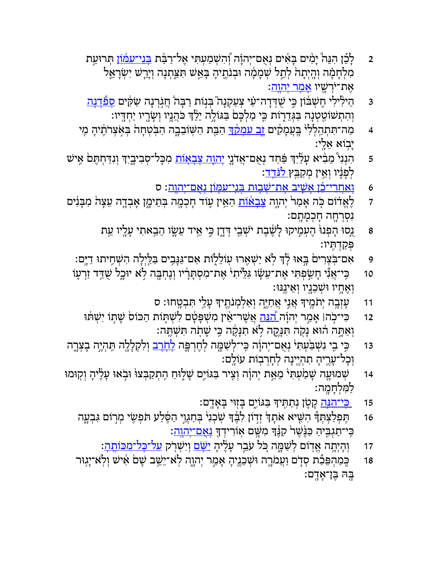- 2 אַ לְבֵּ֫ן הִנֵּה יְמִים בְּאִים נְאֻם־יְהוָה וְהִשְׁמַעְתִּי אֶל־רַבּת <u>בְּנֵי־עמוֹן</u> תְּרוּעַת ְמִלְחָמָה וְהֵיְתָהֹ לְתֵל שְׁמְמָׂה וּבְנֹתֶיהָ בְּאֵשׁ תִּצֵּתְנָה וְיָרֵשׁ יִשְׂרָאֵל ָאֵת־יֹרְשָׁיו <u>אָמְר יְהוָה</u>:
- 3 ֶהֵילִילִי חֶשְׁבֹּוֹן בִּי שֻׁדְּדָה־עַי צְעַקְנָה בִּנְוֹת רַבְּה ׁחֲגְרְנָה שַׂקִּים <u>סְפִּדְנָה</u> וְהִתְשׁוֹטֵטְנָה בַּגְּדֵרְוֹת כִּי מַלְכָּם בַּגּוֹלָה יֵלֵׂדְ כֹּהֲנֵֽיו וְשָׂרֶיו יַחְדִּיו:
- 4 ּ מַה־תִּתְהַלְלִי בְּעֲמָקִים <u>זָב עַמְקֵד</u>ּ הַבֵּת הַשְּׁוֹבֵבֶה הַבְּטְחָה בְּאָצְרֹתֶיהָ מֶי ַיְבוֹא אֶלֵי:
- 5 הִנְנִי מֵבִ֫יא עָלַיִךְ פַּחַד נְאֻם־אֲדֹנֶי <u>יְהוֶה צְבְאָוֹת</u> מִכְּל־סְבִיבְיִךְ וְנִדַּחְתֶּם אִישׁ לְפָנָיו וְאֵין מִקַבֵּץ<u> לִנִּדֵד</u>:
	- 6 <mark>ּוְאַחֲרֵי־כֵוֹ אֲשֵׁיב אֵת־שַׁבִּוּת בְּנֵי־עמִוֹן נִאֲם־יִהוַה</mark>: ס
- ד אָ לֶאֱדֹוֹם כָּה אָמַר יְהְוָה <u>צְבְאוֹת</u> הַאֵּין עָוֹד חָכְמֶה בְּתֵימֶן אָבְדֶה עֵצָה מִבְּנִים נְסְרְחֵה חַכְמַתֲם:
	- ַנְסוּ הָפְנוּ הֶעְמֶיקוּ לָשֶׁבֶת יֹשְׁבֵי דְּדֶן בִּי אֵיד עַשֳו הֵבִאתִי עָלֶיו עֵת a ְפַּקְדִ ֽתּיו׃
	- פּן יִצְחִיתוּ דַיֶּם: "פַּלֵּיְלָה הִשְׁחִיתוּ דַיֶּם ?" (אַ יַשְׁאָרוּ עִוֹלֵלְוֹת אִם־גַּנְּבִים בַּלַיְלָה
	- 10 ִ ֽכּ ֲ י־אִ֞ני ָחַ֣שׂ ְפ ִתּי ֶא ֵת־ע ָ֗שׂו ִגֵּ֙לּ ִ ֙ יתי ֶא ִת־מ ְסָתָּ֔ריו ְוֶנ ְחָ ֖בּה ֣ל ֹא ָ֑ יוּכל ֻשַׁ֥דּד ַזְר֛עוֹ ַוְאֶחֶיו וּשָׁכֵנֶיו וְאֵינֵנּוּ:
		- 11 דַּטְאָֽבֶה יְתֹמֶיךָ אֲנֵי אֲחַיֶּה וְאַלְמְנֹתֶיךָ עָלַי תִּבְטֶחוּ: ס
		- 12 ִכִּ י־כֹה! אָמַר יְהוָה <u>הגֵה</u> אֲשֶׁר־אֵין מִשְׁפָּטָם לִשְׁתָּוֹת הַכּוֹס שָׁתְוֹ יִשְׁתּוּ וְאַתְּה הוֹא נָקָה תִּנְקֶה לָא תִנְּמֶה כִּי שָׁתָה תִּשְׁתֶּה:
- 13 ٪ כִּי בִי נִשְׁבַּעְתִּי נְאֻם־יְהוָה כִּי־לְשַׁמֶּה לְחֶרְפֶּה <u>לְחָבָב</u> וְלִקְלָלֶה תִּהְיֶה בְצְרֶה ּוְכָל־עָרֶיהָ תִהְיֶינָה לְחָרְבְוֹת עוֹלֵם:
- 14 <sup>ְ</sup> שְׁמוּעֶה שָׁמַׂעְתִּי מֵאֵ֣ת יְהוָ֔ה וְצִיר בַּגּוֹיָם שָׁלֶוּחַ הְתְקַבְּצוּ וּבִׂאוּ עָלֶיהְ וְקוּמוּ לַמִּלְחָמֶה:
	- 15 <u>ָ כִּי־הִגָּה</u> קְטֶן נְתַתֵּיךָ בַּגּוֹיֶם בְּזְוּי בָאָדֶם:
	- 16 אֵתָּד *ְהִשִּׁיא אֹתָך* זִדְוֹן לִבֶּדְּ שְׂכִנִי ּבְחַגֵּוִי הַסֵּׁלַע תּפִשְׂי מִרְוֹם גִּבְעֶה ּכִּי־תַגְבִּיהַ כַּנֶּשֶׁר ּקִנֶּֽדּ מִשָּׁם אָוֹרִידְךָּ <u>נְאֲם־יְהְוָה</u>:
		- 17 <sup>ֶּ</sup> וְהָיְתָה אֱדוֹם לְשַׁמֶּה כִּל עֹבֵר עָלֶיהָ <u>יִשָּׂם</u> וְיִשְׁרֹק <u>על־כִּל־מכּוֹתֶה</u>:
	- 18 ְ ֽכַּמ ְהֵפַּ֞כת ְס֧דֹם ַוֲע ֹמָ֛רה ְוּשֵׁכֶ֖נ ָיה ָאַ֣מר ְי ָ֑הוה ֽל ֹ ֵא־יֵ֥שׁב ָשׁ֙ם ִ֔אישׁ ְו ֽל ֹ ָא־י֥גוּר ַּבָּה בֵּן־אָדֶם: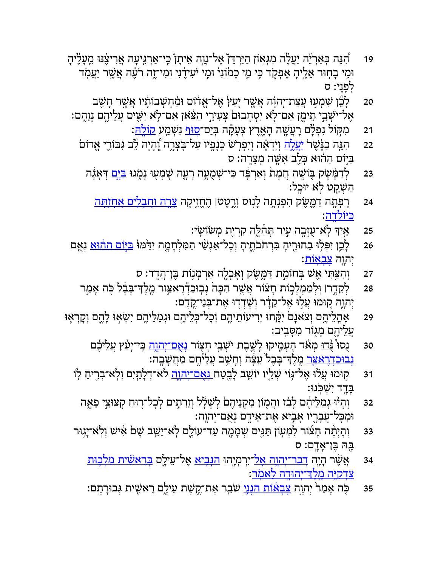- 19 <sup>ָּ</sup> הָנֵּה כְּאַרְ"ֵּה יַעֲטֶׂה מִגְּאִוֹן הַיַּרְדֵּן אֶל־נֶוֶה אֵיתָן בְּי־אַרְגִּיעָה אֲרִיצֶּנּוּ מֵעָטֶׂיהָ וּמִי בְחְוּר אֵלֶיהָ אֶפְקָד בִּי מֵי כָמׂוֹנִי ּוּמִי יֹעִידֶנִּי וּמִי־זֶה רֹעֶה אֲשֶׁר יַעֲמְד לְפַנִי: ס
- 20 לְבֵّן שִׁמְעוּ עֲצַת־יְהוָה אֲשֶׁר יָעַץׂ אֶל־אֱדוֹם וּמַ֫חִשְׁבוֹתָ֫יו אֲשֶׁר חָשַׁב ָאֶל־יֹשְׁבֵי תֵימֱן אִם־לָא יִסְחָבוּם צְעִירֵי הַצֹּאן אִם־לְא יַשֵּׁים עֲלֵיהֶם נְוֵהֶם:
	- 21 **ָמִקּוֹל נִפְלָם רָעֲשֶׁה הָאֶרֶץ צְעָקָ**ה בְּיַם־<u>סוּף</u> נִשְּׁמַע <u>קוֹלָה</u>ּ:
	- 22 <sub>ּ</sub>הָנֶּה כַנֶּשֶׁר <u>יעָלָה</u> וְיִדְאֶה וְיִפְרְשׁ כְּנְפֵיו עַל־בְּצְרֶה וְנְהָיה לֵצִב גִּבּוֹרֵי אֱדוֹם ַבְּיִּּוֹם הַהוֹּא כְּלֵב אִשָּׁה מְצֵרֶה: ס
		- ּ23 אַבְּה ְדִּמֶּשָׁק בְּוֹשֶׂה חֲמָת וְאַרְפְּד כִּי־שְׁמֻעָּה רָעָה שְׁמְעָוּ נָמֶגוּ <u>בִּיִּם</u> דְּאָגָה ּהַשָּׁקֵט לְא יוּבֵל:
			- 24 **ָרְפְּתָה דַמֶּשֶׂק הִפְנְתָה לְנִוּס** וְרֶטֶטּו הֶחֱזֶיִקָה <u>צְרֶה וַחְבְלִים אַחְזָתְּה</u> ַכּיּוֹלדה:
				- 25 אִיךְ לְאֹ־עֻזְּבֶה עִיר תְּהִצֶ**ٔה קִרְיַת מְשׂוֹשִׂי**:
- 26 אַ לְבֵן יִפְּלִוּ בַחוּרֶיהָ בִּרְחֹבֹתֶיהָ וְכָל־אַנְשֵׁי הַמִּלְחָמֶה יִדִּמּוּ <u>בּיִּיֹם ההוּא</u> נְאֵם יִהוָה <u>צְבְאָוֹת</u>:
	- 27 וְהִצִּתִּי אֵשׁ בְּחוֹמַת דַּמֱשֶׂק וְאָכְלֶה אַרְמְנִוֹת בֶּן־הֲדֶד: ס
	- 28 ְלֵקָ֣דר׀ ֽוּ ְל ַמ ְמ ְל֣כוֹת ָח֗צוֹר ֲאֶ֤שׁר ִהָכּ ֙ה ְנ ֽב ַוּכְ֯דֶר ַ֣אצּור ֶ ֽמֶל ְָך־בֶּ֔בל ֖כֹּה ָאַ֣מר יְהוֶה קוּמוּ עֲלִוּ אֶל־קֵדָר וְשָׁדְדוּ אֶת־בְּנֵי־קֶדֶם:
- ְ29 אֶהֲלֵיהֶם וְצֹאנָם יִקָּחוּ יְרִיעוֹתֵיהֶם וְכָל־כְּלֵיהֶם וּגְמַלֵּיהֶם יִשְׂאִוּ לְהֶם וְקָרְאָוּ ַעֲלֵיהֱם מַגְוֹר מִסָּבֵיב:
	- 30 ַנֻסוּ <u>ּנֲדוּ</u> מְאֹד הֶעְמֶיקוּ לְשֶׁבֶת יֹשְׁבֵי חָצְוֹר <u>נְאֲם־יְהוֶה</u> בְּי־יָעַ֫ץ עֲלֵיכֶថ <del>ּנְבוּכִדְרָאַצַּר</del> מֶלֶדְ־בְּבֶל ֹעֵצְּה וְחָשַׁב עֲלֵיּהֶם מַּחֲשָּׁבֶה:
	- 31 קוּמוּ עֲלוּ אֶל־גּוֹי שְׁלֵיו יוֹשֵׁב לָבֻטַח <u>נְאָם־יְהוֶה</u> לֹא־דְלָתָיִם וְלְאֹ־בְרֶיחַ לְוֹ ַבְּדֵד יִשְׁכִּנוּ:
		- 32 <sup>ְ</sup>וָהְיֹוּ גְמַלֵּיהֶם לָבִׂז וַהֲמְוֹן מִקְנֵיהֶםׂ לְשָׁלָל וְזֵרִתְים לְכָל־רֻוּחַ קְצוּצֵי פֵאֱה ּוּמִכְּל־עֲבְרֶיו אָבִיא אֶת־אֵידֶם נְאֻם־יְהוֶה:
	- 33 <sup>ַ</sup>וְהָיְתָּ֫ה חָצׂוֹר לִמְעִוֹן תַּגֵּים שְׁמָמֶה עַד־עוֹלֶם לְאֹ־יֵשֵׁב שָׁם אִישׁ וְלְאֹ־יָגִוּר ָ ֖בּהּ ֶבּ ָ ן־אָ ֽדם׃ ס
		- 34 אֲשֶׁר הְיֶה <u>דְבר־יְהוֶה אָל־יִרְמְיֶהוּ הַנְּבִיא</u> אֶל־עֵילֶם <u>בְּרֵאשִׂית מלְכֶוּת</u> <u>צִדקיּה מֵלְדְ־יָהוּדָה לַאמֹר</u>:
		- 35 כָּה אָמַר יְהְוָה <u>צְבְאֹוֹת הִנְנִי</u> שֹׁבֵר אֶת־קֶשֶׁת עִילֶם רֵאשִׂית גְּבוּרָתְם: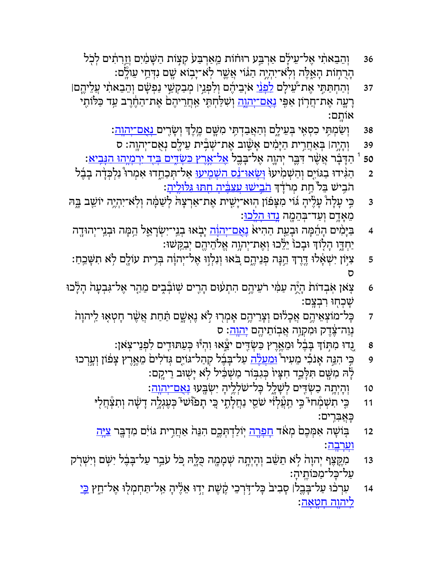- 36 <sup>ּ</sup> וְהֵבֵאתִ֫י אֶל־עֵילָם אַרְבַּע רוּחוֹת מֵאַרְבַּע קִצְוֹת הַשָּׁמַ֫יִם וְזֵרְתִ֫ים לְכְל ּהָרֻחְוֹת הָאֱלֶה וְלְאֹ־יִהְיֶה הַגּוֹי אֲשֶׁר לְאֹ־יָבְוֹא שֶׁם נִדְּחֵי עֵולֶם:
- 37 וְהַחְתַּתִּי אֶת־עֵׁילָם <u>לִפְּנֵי</u> אֹיְבֵיהֶם וְלִפְנֵין מְבַקְשֵׁי נַפְּשָׁם וְהֵבֵאתִ֫י עֲלֵיהֶםן ָרָעֶה אֶת־חֲרְוֹן אַפִּי <u>נְאֲם־יְהוֶה</u> וְשִׁלַּחְתֶּי אַחֲרֵיהֶם אֶת־הַחֶוֶרֶב עַד כַּלּוֹתֶי ָ ֽאוֹתם׃
	- 38 וְשַׂמְתִּי כִסְאִי בְּעֵילֶם וְהַאֲבַדְתִּי מִשָּׁם מֶלֶדְ וְשָׂרִים <u>נְאֲם־יְהוָה</u>:
	- ּ39 |וְהָיָה׀ בְּאַחֲרִית הַיָּמִים אָשֶׁוּב אֶת־שְׁבְّיּת עֵילֶם נְאֻם־יְהוֶה: ס
	- ַהַדְּבְר אֲשֶׁר דִּבֶּר יְהְוֶה אֶל־בְּבֶל <u>אָל־אָרָץ כּשְׂדֵּים בְּיָד יִרְמְיָהוּ הּנִּבִיא</u>: i
- ַם אַ יִּהְגִּידוּ בַגּוֹיִם וְהַשְׁמִׂיעוּ <mark>וְשָׂאוּ־נֵט השָׁמֵיעוּ אַ</mark>ל־תְּכַחֵדוּ אִמְרוּ ּנִלְכִּדָה בָבֶל הֹבִישׁ בֵּל<sup>י</sup> חָת מְרֹדְךָ <u>הֹבִישׁוּ עֲצַבִּיה חִתּוּ גִּלּוּלֵיה</u>ָ:
- ַ בִּי עָלָה ּעָטֶ֫יהָ גוֹי מִצְפֿוֹן הְוּא־יָשִׁית אֶת־אַךְצָהׂ לְשַׁמְּה וְלְאֹ־יִהְיֶה יוֹשֵׁב בֵּהּ מֵאָדֵם וְעַד־בִּהֵמֶה <u>נִדוּ הִלְכוּ</u>:
- 4 ַ בַּיָּמִים הָהֵמָּה וּבְעֵת הַהִיא <u>נְאֲם־יְהוֹה</u> יָבְאוּ בְנֵי־יִשְׂרָאֵל הֵמָּה וּבְנֵי־יְהוּדֶה ֿיַחְדֶו הְלָוֹדִּ וּבְכוֹ יֵלֵׂכוּ וְאֶת־יְהוֶה אֱלֹהֵיהֶם יְבַקִּשׁוּ:
- ָּפֿוֹן יִשְׁאָלוּ דֶּרֶדְּ הֵנְּה פְּנֵיהֶם בִּאוּ וְנִלְוַוּ אֶל־יְהוָֹה בְּרִית עוֹלֵם לְא תִשְּׁבְחַ: = ס
- 6 אָאן אָבְדוֹת הָיָ̈ה עַמִּ֫י רֹעֵיהֶם הִתְעוּם הָרֶים שְׁוֹבְּבִיּם מֵהַר אֶל־גִּבְעָה הָלָכוּ · ַשְׁבְחְוּ רְבְצֵם:
	- ד אָל־מוֹצְאֵיהֶם אֲכְלוּם וְצָרֵיהֶם אָמְרוּ לָא גֶאְשֶׁם תַּתַּת אֲשֶׁר חָטְאָוּ לַיהוָה נְוֵה־צֶדֶק וּמִקְוֶה אֲבְוֹתֵיהֶם <u>יְהוָה</u>: ס
		- 8 ֻ֚נדוּ ִמ֣תּוְֹך ָבֶּ֔בל ֵוּמֶ֥אֶרץ ַכּ ְשִׂ֖דּים ֵ֑֯ יצאוּ ִו ְה֕יוּ ְכַּע ִ֖תּוּדים ִל ְפֵנ ֽ י־צ ֹאן׃
	- 9 ֶ כֵּי הִגֵּה אָנֹבִי מֵעִיר <u>ּוּמִעֲלָה</u> עַל־בָּבֶ֫ל קְהַל־גּוֹיָם גְּדֹלִים מֵאֱרֶץ צְפֹוֹן וְעָרְכוּ ָלָהּ מִשֶּׁם תִּלְּכֵֵד חִצְיוֹ בְּגִבְּוֹר מַשְׁבִּיל לָא יָשָׁוּב דֵיקֶם:
		- 10 <sup>ְ</sup>וְהָיְתֶה כַשְׂדִּים לְשָׁלֵל בְּל־שֹׁלְלֵ֣יהָ יִשְׂבֵּעוּ <u>נְאֲם־יְהוֶה</u>׃
		- 11 ۚ כֵּי תִשְׁמְۨחיּ ּכֵי תַעֲלְוֹּ שֹׁסֵי נַחֲלָתֶי כֵּי תָפֹוּּשׁי ּכְעֶגְלֶה דְשָׂה וְתִצְּחֲלִי ָכֲּא ִבִּ ֽרים׃
		- 12 בִּוֹשָׁה אִמְּכֶם מְאֹד <u>חְפְרֶה</u> יְוֹלַדְתְּכֶם הִנֵּה אַחֲרִית גּוֹיִם מִדְבֶּר <u>צִיֶּה</u> <u>וְעַרְבְהָ</u>
	- 13 ִמֶ֤קֶּצף ְי ָהו ֙ה ֣ל ֹא ֵת ֵ֔שׁב ְוָהְיָ֥תה ְשָׁמָ ֖מה ֻכָּ֑לּהּ ֚כֹּל עֵֹ֣בר ַע ָ ל־בֶּ֔בל ִי ֥שֹּׁם ְוִי ְשׁ֖רֹק ּעַל־כָּל־מַכּוֹתֱיהָ׃
		- 14 ː עִרְכֹוּ עַל־בָּבֶלּן סְבִיב<sup>וֹ</sup> כָּל־דְּׂרְבֵי קֶשֶׁת יְדָוּ אֵלֶיהָ אֲל־תֵּחְמְלוּ אֶל־חֵץ <u>בְּי</u> <u>ליהוה חטאה</u>: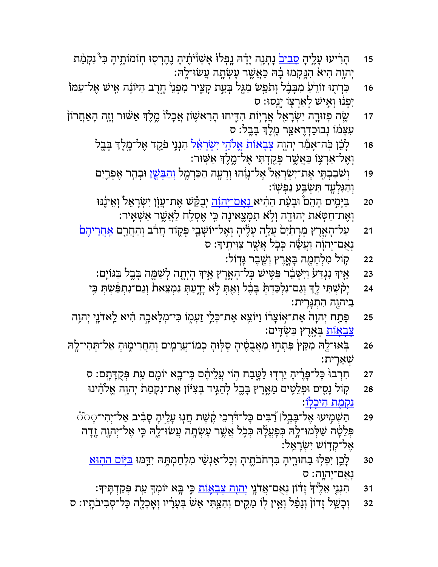- 15 דְרִיעוּ עָלֶיהָ <u>סְבִיב</u>ׂ נְתְנְה יְדָה גִפְלוּ אָשְׁוْיֹתֶנה נֶהֶרְסִוּ חְוֹמוֹתֱיִהְ כִּי ּנִקְמַּת יְהוֶה הִיאֹ הִגְּקְמוּ בְרׁהּ כַּאֲשֶׁר עָשְׂחֶה עֲשׂוּ־לֶהּ:
- 16 און דוֹרַע ִמִבְּבֶל וְתֹמֵ<sup>ּ</sup>ט מַגֶּל בְּעֵת קָצִיר מִפְּנֵי הֶדֶרב הַיּוֹּנָה אָישׁ אָל־עַמּוֹ יִפְּנוּ וְאִישׁ לְאַרְצְוֹ יָנֶסוּ: ס
- ֿוֹזה יִשֽׂר אֵרְיִוֹת הִדִּיחוּ הָרִאשָׁוֹן אֲכְלוֹ מֶלֶךְ אַשּׁוּר וְזֶה הְאַחֲרוֹן ּעִצְמֹוֹ נְבוּכַדְרֶאַצֵּֽר מֶלֶדְ בְּבֶל: ס
	- 18 <sup>ָּ</sup> לְבֵ֫ן כְּה־אָמַٗר יְהוֶה <u>צְבְאוֹת אֵלֹהֵי יִשְׂרְאֵל</u> הִנְנִי פִׂקֵד אֶל־מֶלֶדְ בְּבֶל ֿוְאֶל־אַרְצֶוֹ כַּאֲשֶׁר פְּקַדְתִּי אֶל־מֶלֶדְ אַשְׁוּר:
	- 19 וְשֹׁבַבְתָּי אֶת־יִשְׂרָאֵל אֶל־נְוֵ֫הוּ וְרָעָה הַכַּרְמֶל <u>וְהִבְשֵׁ</u>ן וּבְהַר אֶפְרֵיִם ְוַהִגְּלָ ֖עד ִתּ ְשַׂ֥בּע ַנ ְפ ֽשׁוֹ׃
	- 20 ַ בַּיָּמִים הָהֵםْ וּבְעֵּׁת הַהִיא<u> נִאֲם־יְהוָה</u> יְבֻקֵּישׁ אֶת־עֲוָן יִשְׂרָאֵל וְאֵינֶנּוּ וְאֶת־חַטְּאת יְהוּדֶה וְלְא תִמְּצֵאינָה בִּי אֶסְלַח לַאֲשֶׁר אַשְׁאִיר:
	- 21 \_ עַל־הָאֶרֶץ מְרָתַׂיִם עֲלֵה עָלֶיהָ וְאֶל־יוֹשְׁבֵי פְּקֶוֹד חֲרֹב וְהַחֲרֶם <u>אִחְרִיהָם</u> **ַנְאָם־יְהוָֹה וַעֲשֶׂה כִּכְל אֲשֶׁר צִוִּיתֵידְּ: ס** 
		- 22 ֥קוֹל ִמ ְלָחָ ֖מה ָבָּ֑אֶרץ ְוֶ֖שֶׁבר ָגּֽדוֹל׃
		- ּ23 אֵיךְ נִגְדַע וַיִּשָּׁבֵׂר פַּטִּישׁ כָּל־הָאֶרֶץ אֵיךְ הְיְתָה לְשַׁמֶּה בְּבֶל בַּגּוֹיִם:
		- 24 אַ יָקֹשְׁתִּי לָדְ וְגַם־נִלְכַּדְהְּ בְּבֶל וְאָתְּ לְא יָדֶעַתְ נִמְצֵאת וְגַם־נִתְפִּשְׂתְּ בְּי ַבְיהוֶה הִתְגָּרִית:
- 25 אֲת־אֲוֹצְרֹוֹ וַיּוֹצֵא אֶת־כְּלֵי זַעְמֶוֹ כִּי־מְלָאכְה הִיא לַאדֹנֵי יְהוֶה ? <u>ְצָבְאַוֹת</u> בְּאֱרֵץ כַּשְׂדֵּים:
- 26 ← בְּׂאוּ־לֶהּ מִקֵּץ פִּתְחוּ מַאֲבֻסֶיהָ סְלִּוּהָ בְמוֹ־עֲרֵמֶים וְהַחֲרִימֶוּהָ אַל־תְּהִי־לֶהּ שָׁאֵרֵית:
	- 27 אִחְרְבוּ בְּל־פֶּרֶיהָ יֵרְדְוּ לַטֲבַח הְוֹי עֲלֵיהֶם בִּי־בָא יוֹמֶם עֵת בִּקְדָּתִַם: ס
	- 28 קוֹל נָסֵים וּפְלֵטִים מֵאֶרֶץ בְּבֶל לְהַגִּיד בְּצִיּּוֹן אֶת־נִקְמַתׂ יְהְוֶה אֱלֹהֵינוּ <u>נקמת היכלו</u>ׁ:
	- 29 ַה ְשִׁ֣מיעוּ ֶא ָ ל־בֶּ֣בל׀ ַ֠ר ִבּים ָכּ ֨ ל־דְֹּרֵכי ֶ֜ק ֶשׁת ֲח֧נוּ ָעֶ֣ל ָיה ָס ִ֗ביב ַא ְל־י ִה ָ י־◌֮◌֯◌ ּפְּלֵטָּה שַׁלְּמוּ־לָהּ כְּפָעֲלָהּ בְּכָל אֲשֶׁר עָשְׂתָה עֲשׂוּ־לֶהּ בִּי אֶל־יְהְוֶה זֶדָה ָאֵל־קִדְוֹשׁ יִשְׂרָאֱלֹ:
		- 30 ֹלָבֶן יִפְּלִוּ בַחוּרֶיהָ בִּרְחֹבֹתֶיהָ וְכָל־אַנְשֵׁי מִלְחַמְתֶּהּ יִדֵּמּוּ <u>בּיִּּוֹם ההוּא</u> נְאָם־יִהוֶה: ס
			- 31 ֶהִנְנִי אֵלֶ וּדְ זְדוֹן נְאֻם־אֲדֹנֵי יָ<u>הוָה צְבָאֲוֹת</u> כֵּי בְּא יוֹמְךָּ עֵת כְּקַדְתִּיךָ׃
- 32 <sup>ַ</sup>וְכָשַׁל זָדוֹן וְנָפֿל וְאֵין לְוֹ מֵקֵים וְהִצַּתִּי אֵשׂ בְּעָרְיו וְאָכְלֶה כָּל־סְבִיבֹתֳיו: ס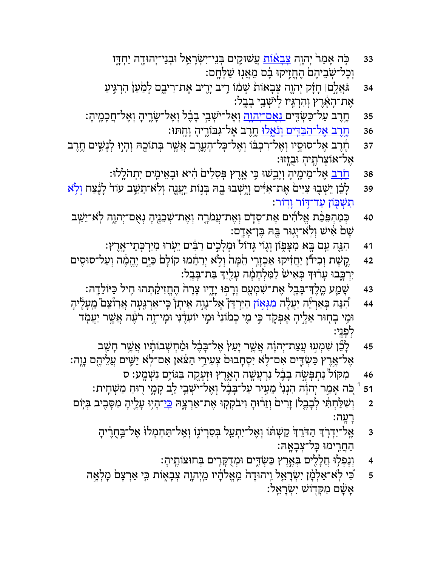- 33 כָּה אָמַר יְהְוֶה <u>צְּבְאֹוֹת</u> עֲשׁוּקֵים בְּנֵי־יִשְׂרָאֵל וּבְנֵי־יְהוּדֶה יַחְדֶּו וְכָל־שְׂבֵיהֶם הֶחֱזִיקוּ בָם מֵאֲנְוּ שַׁלְּחֶם:
- 34 É גֹּאֲלָם। חָזָק יְהוֶה צְּבְאוֹת שְׁמֹוֹ רִיב יָרִיב אֶת־רִיבֶם לְמַעַןֹּ הִרְגִּיעַ ְאֵת־הָאֶרֵץ וְהִרְגִּיז לִישָׁבֵי בָבֵל:
- 35 ֶחֶרֶב עַל־כַּשְׂדִּים <u>נְאָם־יְהוֶה</u> וְאֶל־ישְׁבֵי בְבֶ֫ל וְאֶל־שָׂרֶיהָ וְאֶל־חֲכָמֶיהָ:
	- 36 <del>ֶחֶרֶב אֶל־הַבִּדִּים וְנִאֱלוּ</del> חֶרֶב אֶל־גִּבּוֹרֶיהְ וְחֶתּוּ:
- 37 ֶ חֶׁרֶב אֶל־סוּסְיו וְאֶל־רִכְבֹּוֹ וְאֶל־כָּל־הָעֶרֶב אֲשֶׁר בְּתוֹכֶהּ וְהְיִוּ לְנָשִׁים חֶרֶב ֶא ְ ל־אוֹצרֶֹ֖ת ָיה ֻוּבָ ֽזּזוּ׃
	- 38 <u>ּחֶׂרָב</u> אֶל־מֵימֶיהָ וְיָבֵשׁוּ כִּי אֶרֶץ פְּסִלִים הִיא וּבְאֵימֶים יִתְהֹלְלוּ:
- 39 אָת־אִיִּּים יְיָשְׁבוּ בֶה בְּנוֹת יַעֲנֶה וְלְא־תֵשֵׁב עוֹד לְנֶצַח **וְלָא** <u>תִשָׁכּוֹן עַד־דּוֹר וַדוֹר</u>:
- 40 ְכַּמ ְהֵפּ ַ֨כת ֱא ִֹ֜להים ֶא ְת־ס֧דֹם ְוֶא ֲת־ע ֹמָ֛רה ְוֶא ְת־שֵׁכֶ֖נ ָיה ְנֻא ְם־י ָ֑הוה ֽל ֹ ֵא־יֵ֥שׁב ָשָׁם אִישׁ וְלְאֹ־יָגְוּר בְּהּ בֵּוְ־אָדֶם:
	- 41 **ִהִגְּה עַם בָּא מִצְּפִוֹן וְגָוֹי** גָּדוֹל<sup>י</sup> וּמְלָבִים רַבִּים יֵעְׂרוּ מִיַּרְכְּתֵי־אֶרֶץ:
- 42 ֶקָשָׁת וְכִידוֹן יַחֲזִיקוּ אַכְזָרִי הֵמְּהֹ וְלָא יְרַחֵמוּ קוֹלָם כַּיָּם יֶהֱמֶה וְעַל־סוּסִים יִרְכֶּבוּ עָרוּדְּ כְּאִישׁ לַמִּלְחָמָה עָלַיִךְ בַּת־בָּבֶל:
	- 43 ָשַׁ֧מע ֶ ֽמֶל ְָך־בֶּ֛בל ֶא ִת־שׁ ְמָ ֖עם ְוָר ֣פוּ ָיָ֑דיו ָצָר ֙ה ֶהֱחִז ַ֔יק ְתהוּ ִ֖חיל ַכּ ֵ יּוֹלָ ֽדה׃
- 44 <sup>ָּ</sup> הָנֵּה כְּאַרְיֵּה יַעֲטֶ*ּ*ה <u>מִגְּאַוֹן הַיִּ</u>רְדֵּן אֶל־נֵוֶה אֵיתָן בִּי־אַרְגֶּעָה אֲרִוْצֵם ֹמֵעָלֶיהָ וּמִי בְחִוּר אֵלֶיהָ אֶפְקֶד בִּי מֵי כְמֹוֹנִי ּוּמֵי יוֹעִדֶנִּי וּמְי־זֶה רֹעֶׁה אֲשֶׁר יַעֲמִד לִפְנֵי:
- 45 לְבֵּ֫ן שִׁמְעָוּ بְוַצַת־יְהוָה אֲשֶׁר יָעַץׂ אֶל־בָּבֶ֫ל וּמַ֫חִשְׁבוֹתָ֫יו אֲשֶׁר חָשַׁב ָאֶל־אֶרֶץ כַּשְׂדֵּים אִם־לָא יִסְחָבוּם צְעִירֵי הַצֹּאן אִם־לָא יַשֶּׁים עֲלֵיהֶם נֶוֶה:
	- 46 אַקּוֹל נִתְפְּשָׂה בְבֶׂל נִרְעֲשֶׁה הָאֱרֶץ וּזְעָקֶה בַּגּוֹיָם נִשְׁמֳע: ס
	- נֹה אָמַר יְהוָה הִנְגִי מֵעִיר עַל־בָּבֶ֫ל וְאֶל־ישְׁבֵי לֵב קָמֶי רְוּחַ מַשְׁחִית: 1
- ּ2 **ִוְשִׁלַּחְתִּי לְבָבֶל**ּ| זָרִים וְזֵרוּהָ וִיבֹקְקְוּ אֶת־אַרְצֶהּ <u>בְּי</u>־הָיִוּ עָלֶיהָ מִסָּבִיב בְּיִוֹם ָרָעֲה:
	- ַ אֵל־יִדְרָׂד הַדֹּרֵךְ קַשְׁתוֹ וְאֶל־יִתְעַל ּבְסִרְיֹנֶוֹ וְאַל־תַּחְמְלוֹ אֶל־בַּחֻרֶיֹהָ s ַהֲחִ֖רימוּ ָכּ ְ ל־צָבָ ֽאהּ׃
		- 4 ְוָנ ְפ ֥לוּ ֲחָלִ֖לים ְבֶּ֣אֶרץ ַכּ ְשִׂ֑דּים ְוּמֻדָקִּ֖רים ְבּ ֶ ֽ חוּצוֹת ָיה׃
	- ד אָלְמָ֫ן יִשְׂרָאֱל וְיהוּדָה מֵאֱלֹדֶ֫יו מֵיְהוֶה צְבָאֶוֹת כִּי אַרְצָם מְלָאֶה ፤ ָא ָ֔שׁם ִמ ְקּ֖דוֹשׁ ִי ְשָׂרֵ ֽאל׃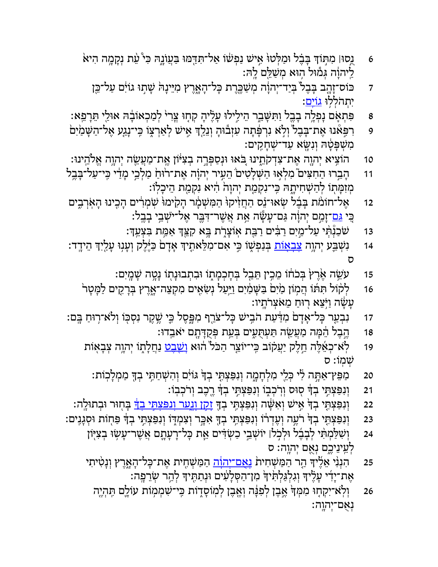- 6 אַנְסוּ| מִתְּוֹךְ בָּבֶל וּמַלְּטוּ אֵישׁ נַפְשׁוֹ אַל־תִּדְמוּ בַּעֲוֹנֶהּ כִּי ּעָ֫ת וְכָןמֶה הִיא ַ לִיהוָה גְּמוּל הְוּא מְשַׁלֵּם לָהּ:
	- ד אוֹיִם עַל־בֶּן (בְּבָל יִבְיַד־יְהוֹה מְשַׁבֶּרֶת בְּל־הָאֶרֶץ מִיֵּינָהּ שָׁתְוּ גוֹיִם עַל־בֵּן יִתְהֹלְלוּ <u>גוֹים</u>:
- פּתְאָם נִפְלֵה בְבֶל וַתִּשָּׁבֵר הֵילֵילוּ עָלֶיהָ קִחְוּ צֵֽרִיּ לְמַבְאוֹבָה אוּלַי תֵּרְפֵא:  $\,$
- 9 אֶרַצְוֹ הָי־נְגַע אֶל־הַשָּׁמַׂיִם **? הַעֲש**ַל הְרָצְוֹ הִי־נָגַע אֶל־הַשָּׁמַׂיִם ִמ ְשָׁפָּ֔טהּ ְוִנָ ֖שּׂא ַע ְ ד־שָׁחִ ֽ קים׃
- 10 ִ֥הוֹציא ְי ָ ֖הוה ֶא ִת־צְדקֵֹ֑תינוּ ֚בֹּאוּ ְוּנַס ְפָּ֣רה ְב ִצ֔יּוֹן ֶ ֽא ַת־מֲעֵ ֖שׂה ְי ָ֥הוה ֱא ֵ ֹֽלהינוּ׃
- 11 ← הָבֵרוּ הַחִצִּים ֹמִלְאָוּ הַשְּׁלָטִים הֵעִיר יְהוָה אֶת־רוּחַ מַלְבֵי מְדַי כִּי־עַל־בָּבֶל ִמְזִמְּתָוֹ לְהַשְׁחִיתֶהּ כִּי־נִקְמָת יְהוָהׂ הִיא נִקְמָת הֵיכְלְוֹ:
- 12 אֶל־חוֹמֹת בְּבֶל שְׂאוּ־נֵס הַחֲזִיקוּ הַמִּשְׁמָר הָקִימוּ שְׁמְרִים הָכִינוּ הָאִרְבִים ְ ָּבִי <u>גּם</u>־זָמַם יְהוָה גַּם־עָשָׂה אֵת אֲשֶׁר־דִּבֶּר אֶל־יּשְׁבֵי בָבֶל:
	- 13 שַׁבַנְ֫תִּי עַל־מֵיִם רַבִּים רַבֵּת אָוֹצָרֶת בֵּא קִצֵּךְ אַמֵּת בִּצָעֵךְ׃
- 14 <sup>ָ</sup> נִשְׁבֵּע יְהוֶה <u>צָבְאָוֹת</u> בְּנַפְשֶׁוֹ כֵּי אִם־מִלֵּאתִיךְ אָדָם כַּיֶּלֶק וְעָנְוּ עָלַיִךְ הֵידֳד: ס
	- 15 עִשֵּׂה אֶרֶץ בְּכֹחוֹ מֵכִין תֵּבֵל בְּחָכְמְתוֹ וּבִתְבוּנָתוֹ נָטֶה שָׁמֳיִם:
	- 16 <sup>ּ</sup> לְלוֹל תִּתּוֹ הֲמְוֹן מַׂיִם בַּשָּׁמַיִם וַיַּעַל נְשִׂאִים מִקְצֵה־אֱרֶץ בְּרָקֶים לַמְּטָר ַעֲשָׂה וַיְּצֵא רְוּחַ מֵאֹצְרֹתְֽיו:
- 17 ːנִבְעַר כְּל־אָדָם מִדַּעַת הֹבִישׁ כְּל־צַוֵרֶף מִפֶּסֶל כֵּי שֶׁקֶר נִסְכּוֹ וְלֹא־רְוּחַ בְּם
	- 18 ֶהֶבֶל הֵמָּה מַעֲשֵׂה תַּעְהֻעָים בְּעֵת בְּקֻדָּתֶם יֹא<sub>ּ</sub>בְדוּ:
	- 19 ך ֿ לְאֹ־כְאֵצֶלָה חֵלֶק יַעֲקֹוֹב כִּי־יוֹצֵר הַכֹּל הוּא ו<u>ְשֶׁבָט</u> נַחֲלְתֶוֹ יְהוֶה צְבְאָוֹת שִׁמְוֹ: ס
		- 20 ַמֵפּץ־ַאָ֣תּה ִ֔לי ְכֵּ ֖לי ִמ ְלָחָ֑מה ְוִנַפּ ְצִ֤תּי ְבָ֙ך ִ֔גּוֹים ְו ִה ְשַׁחִ֥תּי ְב ָ֖ך ַמ ְמָל ֽכוֹת׃
			- 21 <sup>ּ</sup> וְנִפַּצְתֵּי בְדֹּ סִוּס וְרִכְבְוֹ וְנִפַּצְתֵּי בְדֹּ רֶכֶב וְרֹכְבְוֹ:
- ּוַנִּפַּצְתָּי ִבְדֹּ אִישׁ וְאִשָּׁה וְנִפַּצְתֵּי בְדָּ <u>זָקָז וְגָער וְנִפּצְתֵּי בְדֹּ</u> בְּחְוּר וּבְתוּלֶה:<br>
- ּ23 |וְנִפַּצְתֶּי בְדְּ רֹעֶה וְעֶדְרֹוֹ וְנִפַּצְתֵּי בְדָּ אִבְּר וְצִמְדֶוֹ וְנִפַּצְתֵּי בְדִּ פַּחְוֹת וּסְגָנִים:
	- ּ24 <sup>ַ</sup> וְשִׁלַּמְתִּי לְבָבֶל וּלְכְלו יוֹשְׁבֵי כַשְׂדִּים אֶת כְּל־רָעָתֶם אֲשֶׁר־עָשָׂוּ בְצִיִּוֹן לְעֵינֵיכֱם נְאֻם יְהוֶה: ס
	- 25 ۚ הִנְנִי אֵלֶּיךָ הַר הַמַּשְׁחִית <u>נְאָם־יְהֹוָה</u> הַמַּשְׁחִית אֶת־כָּל־הָאֱרֶץ וְנָטִיתִי ָאֶת־יָדִי עָלֶיךָ וְגִלְגַּלְתִּ֫יךֹ מִן־הַסְּלָעִים וּנְתַתִּיךָ לְהַר שְׂרֵפֶה:
		- 26 <sup>ְ</sup>וָלְאֹ־יִקִתְוּ מִמְּךָּ אֱבֵן לִפְּנָּה וְאֵבֵן לִמְוֹסָדְוֹת כִּי־שִׁמְמְוֹת עוֹלֵם תֶּהְיֵה ּנְאָם־יִהוֶה: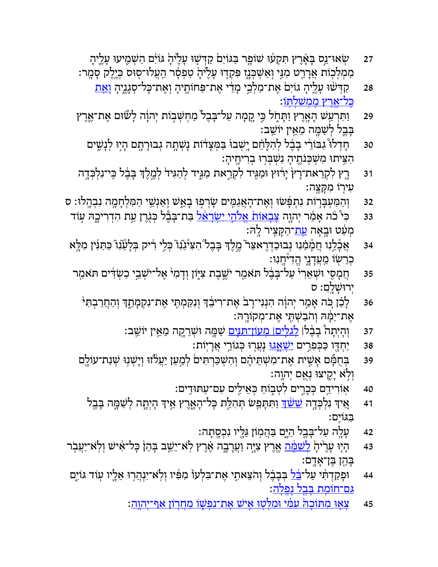- ּדַ ? שְׂ אוּ־נֵס בְּאָרֶץ תִּקְעוּ שׁוֹפֶר בַּגּוֹיִם קַדְּשָׁוּ עָלֶיהָ גּוֹיִם הַשְׁמֶיעוּ עָלֶיהָ ַמְמְלְכְוֹת אֲרָרֵט ִמִגִּי וְאַשְׁבְנֶז ִפִּקְדָוּ עָלֶיּהָ טִפְסָר הַעֲלוּ־סְוּס בְּיֶלֶק סָמֶר:
	- 28 ַקַדְּשׁׁוּ עָלֶיהָ גוֹיִם אֶת־מַלְבֵי מְדַׂי אֶת־פַּחוֹתֶיהָ וְאֶת־כָּל־סְגָנֶיהָ <u>וְאָת</u> <u>ָכּל־אַרץ ממשׁלתּוֹ</u>:
- 29 זַתְּרְעַשׁ הָאֶרֶץ וַתְּחֶל בִּי קֶמְה עַל־בָּבֶל מַחְשְׁבִוֹת יְהוָה לְשׁוּם אֶת־אֶרֶץ ַבְּבֵל לִשַּׁמָּה מֵאֵין יוֹשֵׁב:
	- 30 תּחְדִלוּ ּגִבּוֹרִי בְבֶל לְהִלָּחֵׁם יְשְׁבוּ בַּמְּצָדֹוֹת נְשְׁתָה גְבוּרָתֶם הָיָוּ לְנָשִׁים ּהִצִּיתוּ מִשְׁכְּנֹחֶיהָ נִשְׁבְּרְוּ בְרִיחֶיהָ
- 31 ֶרֶץ לִקְרַאת־רָץׂ יְרוּץ וּמַגִּיד לִקְרַאת מַגִּיד לְהַגִּידֹ לְמֶלֶד בְּבֶ֫ל כִּי־נִלְכְּדֶה ַעִּירִוֹ מִקָּצֵה:
- 32 וְהַמַּעְבָּרְוֹת נִתְבְּשׁוּ וְאֶת־הָאֲגַמֶּים שָׂרְפִוּ בְאֵ֣שׁ וְאַנְשֵׂי הַמִּלְחָמֶה נִבְהֶלוּ: ס
- 33 ٪ כִּי ּכֹּה אָמַ֫ר יִהְוֶה <u>צָבְאוֹת אֵלֹהֵי יִשְׂרָאֵל ב</u>ִּת־בָּבֶّל כִּגְרֵן עֵת הִדִרִיכֵהּ עְוֹד ַמְעַט וּבְאָה <u>עָת</u>־הַקָּצִיר לֻהּ
- 34 <sup>ַ</sup> אֲכְּלֵנוּ חֲמְמִׁנוּ נְבוּכִדְרֶאצַר ּמֶלֶד בְּבָל הִצִיּּנֵّנו ּכְלֵי רִיק בְּלָעַׂנְו ֿכַתַּנִּין מִלְא ֹכְרֵשׂוֹ מֵעֲדָנֶי הֵדִיּחֲנִו:
- 35 הֲמָסִי וּשְׁאֵרִי ּעַל־בָּבֶל תּאמַר יֹשֱבֶת צִייֶּוֹן וְדָמִי אֶל־ישָׁבֵי כַשְׂדִּים תּאמַר יְרוּשַׁלֵםָ: ס
	- 36 אֹכֶּן כִּה אָמַר יְהוְה הִנְגִי־רָב אֶת־רִיבֵד וְנִקַמְתֶּי אֶת־נִקְמְתֶד וְהַחֲרַבְתִּי ְ ּאֵת־יַמָּהּ וְהֹבַשְׁתֵּי אֶת־מְקוֹרֶהּ:
		- 37 ּוֹהְיְתָה ּבְבֶלּ| <u>לְגלִים| מְעוֹן־תּגֵּים</u> שַׁמְּה וּשְׁרֵקֶה מֵאֵין יוֹשֵׁב:
			- 38 <sup>ַ</sup>יַחְדִּו כַּכִּפְרֵים <u>יִשָּׁאֲגוּ</u> נְעֲרְוּ כְּגוֹרֵי אֲרָיֽוֹת:
	- 39 בְּחֻמְּٔם אָשִׁית אֶת־מִשְׁתֵּיהֶם וְהִשְׁבַּרְתִּים לְמַעַן יַעֲלֹזוּ וְיָשְׁנִוּ שְׁנַת־עוֹלֶם ֿוְלְא יָקֵיצוּ נְאֻם יְהוֶה:
		- 40 אוֹרִידֵם בְּכָרִים לִטְבְוֹחַ בְּאֵילִים עִם־עַתּוּדִים:
		- 41 אֵיךְ נִלְכְּדֶה <u>שֵׁשֹׁךְ</u> וַתִּתְּמֵשׁ תְּהִלֵּת כְּל־הָאֶרֶץ אֵיךְ הָיְתָה לְשַׁמֶּה בְּבֶל ַבּ ִ ֽגּוֹים׃
			- 42 <sup>ָ</sup> עָלֶה עַל־בָּבֵל הַיָּם בַּהֲמְוֹן גַּלֵּיו נִכְסֶתָה:
- 43 אֶרָץ אָיָה וַעֲרָבֶה אֶרֶץ לָא־יֵשֵׁב בְּהֵן כְּל־אִישׁ וְלְאֹ־יַעֲבְר រֹי בְּהֵ הָל־אִישׁ וְלִא ַבְּהֵן בֵּן־אָדֶם:
- 44 **ָוּפַקַדְהִּי עַל־<u>בֵּ֫ל</u> בְּבָבֶ**֫ל וְהֹצֵאתֶי אֶת־בִּלְעוֹ מִפִּ֫יו וְלְאֹ־יִנְהֲרָוּ אֵלְיו עְוֹד גּוֹיִם <mark>ּגִם־חוֹמָת בְּבֵל נִפ<u>ּלה</u>:</mark>
	- 45 <sup>ַ</sup> צַאוּ מִתּוֹכהֹּ עמִׂי וּמלּטוּ אִישׁ אַת־נפּשׁוֹ מַחְרוֹן אַף־יְהוּהַ: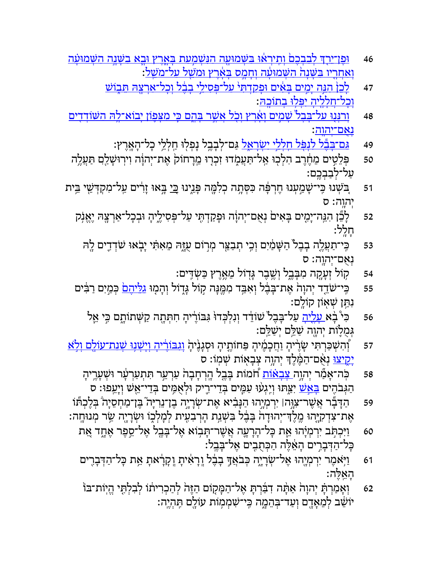- 46 אַ וּפּז־ירִךְ לִבְבְכָם וִתיראוּ ַבּשָּׁמוּעה הַנּשַׁמַעת ַבַּאָרץ וּבָאָ בַשַּׁנה הַשַּׁמוּעָה <u>וַאַחְרִיו בּשָׁנה השַׁמוָּעה וחמס בּאֶרץ וּמשׁל על־מַש</u>ׁל:
	- 47 *ַ לֹכן הוּה ימים בּאים וּפ*ּקדתּי על־פּסילי בבֹל וכל־אַרצהּ תּבוֹש וִכל־חלליה יִפּלוּ בִתוֹכהּ:
- 48 <sup>ְ</sup>וִרְנִּוּ ַעַל־בֶּבְל שַׁמִיִם וַאֲרֵץ וְכָל ְאָשֶׁר ִבְּהֵם כֵּי ִמְצַּפְוֹן יְבוֹא־לֶהּ הִשִּׁוֹדִדִִים <u>נאם־יהוה</u>:
	- 49 *ַ<u>גּם־בְּבָּל לִנְפָּל חִלְלֵי יִשְׂרָאֵל</u> גַּ*ם־לְבָבֶל נְפְלִוּ חִלְלֵי כְל־הָאֲרֶץ:
- 50 ְפֵּלִ֣טים ֵמֶ֔חֶרב ִה ְל ֖כוּ ַ ֽא ַ ל־תֲּע֑ ֹמדוּ ִז ְכ֤רוּ ֵ ֽמָר ֙חוֹק ֶא ְת־י ָ֔הוה ִו ֽיר ָוּשַׁ ֖לםִ ַתֲּעֶ֥לה ַעֲל־לִבַבְרֱם:
- ד51 אַבֹּשְׁנוּ כִּי־שָׁמַעְנוּ חֶרְפָּה כִּסְתָה כְלִמֶּה פְּגֵינוּ <u>בִּי</u> בְּאוּ זָרִים עַל־מִקְדָּשֵׁי בֵּית יְהוֵה: ס
	- 52 ָלֵ֞כן ִהֵ ֽנּ ָה־יִ֤מים ָבּ ִא ֙ים ְנֻא ְם־י ָ֔הוה ָוּפַקְדִ֖תּי ַע ְ ל־פּ ִס ֶ֑ יל ָיה ְוּבָכ ַ ל־אְרָ ֖צהּ ֶיֱאֹ֥נק ָחָ ֽלל׃
		- 53 ִ ֽכּ ַ י־תֲעֶ֤לה ָבֶב ֙ל ַה ָשּׁ ַ֔מִים ְוִ֥כי ְתַבֵ ֖צּר ְמ֣רוֹם ֻעָ֑זּהּ ֵמ ִאִ֗תּי ָי֧בֹאוּ שֹׁ ְדִ֛דים ָ ֖להּ נְאָם־יְהוֶה: ס
			- 54 ֥קוֹל ְזָעָ ֖ קה ִמָבֶּ֑בל ְוֶ֥שֶׁבר ָגּ֖דוֹל ֵמֶ֥אֶרץ ַכּ ְשִׂ ֽדּים׃
	- דד יְהוָה אֶת־בָּבֶל וְאִבִּד מְמֶּנְה קָוֹל גְּדֶוֹל וְהָמֶוּ <u>גלֵיהָם</u> כְּמַיִם רַבִּ֫ים  $\,$ ּנִתֵּן שִׁאָוֹן קוֹלֵם:
		- 56 ٪ כִּי ּבְ֫א<u>ַ עָלֶיהָ</u> עַל־בָּבֶל ֹשׁוֹדֵד וְנִלְכְּדוּ גִּבּוֹרֶיהָ חִתְּתָה קַשְּׁתוֹתֶם כִּי אֵל **ְגִמְלָוֹת יְהוֶה שַׁלֵּם יִשַּׁלֵם:**
- דּ ןְּהִשְׁכַּרְתִּי שָׂרֶיהָ וַחֲכְמֶיהָ פַּחוֹתֶיהָ וּסְגָנֶיהָ וְג<u>ִבּוֹרֶיהְ וְיִשְׁנוּ שָׁנת־עוֹלֵם וְלָא</u> יָ<u>קֵיצוּ</u> נְאָ֫ם־הַמֶּ֫לֶךְ יְהוֶה צְבָאָוֹת שְׁמְוֹ: ס
	- 58 ← כְּה־אָמַל יְהוֶה <u>צָבְאֹוֹת</u> חֹמוֹת בָּבֶל הֶרְחָבָה עַרְעֵר תִּתְעַרְעָׂר וּשְׁעָרֶיהָ ָהַגְּבֹהֶים <u>בָּאֲשׁ</u> יִצַּתּוּ וְיֶגְעוּ עַמֶּים בְּדֵי־רֶיק וּלְאָמִים בְּדֵי־אֵשׁ וְיָעֵפוּ: ס
- 59 ַהָדָּ֞בר ֲאֶשׁ ִר־צָ֣וּה׀ ִיְר ְמָי֣הוּ ַהָנּ ִ֗ביא ֶא ְת־שָׂרָי֣ה ֶב ֵ ן־נִרָיּ֮ה ֶבּ ַ ן־מ ְחֵסָי ֒ה ְבֶּל ְכ֞תּוֹ ּאֶת־צִדְקִיֶּהוּ מֶלֶדִּ־יְהוּדָהֹ בְּבֶ֫ל בִּשְׁנַת הְרְבִעִּית לְמָלְכֶוֹ וּשְׂרָיֶה שַׂר מְנוּחֶה:
	- 60 <mark>ַו</mark>יִּכְתָּב יִרְמְיָהוּ אֶת כְּל־הָרָעָה אֲשֶׁר־תָּבְוֹא אֶל־בָּבֶל אֶל־סֵפָּר אֶחֱד אֶת ַכְּל־הַדְּבָרִים הָאֱלֶה הַכְּתָבִים אֱל־בַּבֵל:
	- 61 **ַ וַיְּאמֶר יִרְמְיֶהוּ אֶל־שְׂרָי**ֶה בְּבֹאֲךָ בְבֶ֫ל וְרָאִיתָ וְקָרָ֫אתָ אֵ֣ת בְּל־הַדְּבָרֶים ָהֵ ֽאֶלּה׃
	- 62 **ּוְאָמִרְתָּ יְהוָה ֹאַתְּה דִבְּרְתְּ אֶל־הַמְּקִוֹם הַזֶּה לְהַכְרִיתוֹ לְבִלְתֵּי הֱיִוֹת־בּוֹ** יוֹשֵׁב לְמֵאָדֶם וְעַד־בְּהֵמֶה כִּי־שִׁמְמִוֹת עוֹלֵם תִּהְיֶה: